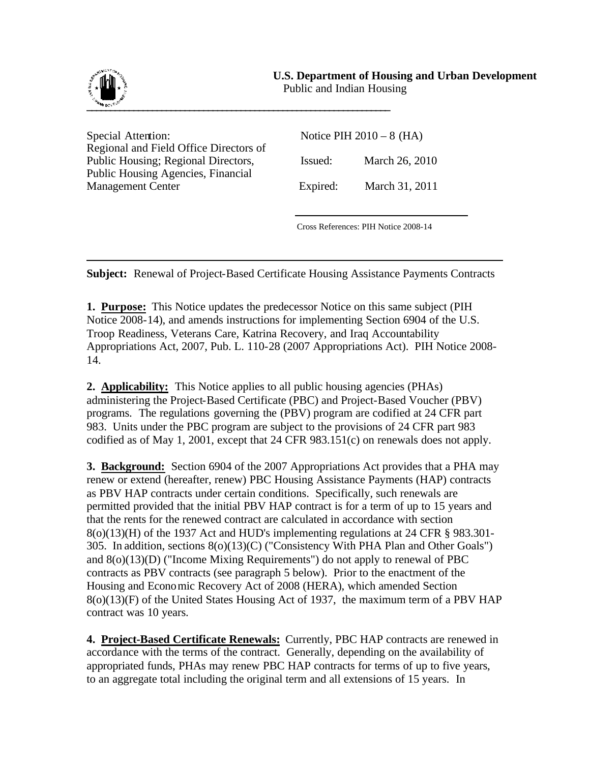## **U.S. Department of Housing and Urban Development**



Public and Indian Housing

Special Attention: Notice PIH 2010 – 8 (HA) Regional and Field Office Directors of Public Housing; Regional Directors, Issued: March 26, 2010 Public Housing Agencies, Financial Management Center Expired: March 31, 2011

Cross References: PIH Notice 2008-14

**Subject:** Renewal of Project-Based Certificate Housing Assistance Payments Contracts

**1. Purpose:** This Notice updates the predecessor Notice on this same subject (PIH Notice 2008-14), and amends instructions for implementing Section 6904 of the U.S. Troop Readiness, Veterans Care, Katrina Recovery, and Iraq Accountability Appropriations Act, 2007, Pub. L. 110-28 (2007 Appropriations Act). PIH Notice 2008- 14.

**2. Applicability:** This Notice applies to all public housing agencies (PHAs) administering the Project-Based Certificate (PBC) and Project-Based Voucher (PBV) programs. The regulations governing the (PBV) program are codified at 24 CFR part 983. Units under the PBC program are subject to the provisions of 24 CFR part 983 codified as of May 1, 2001, except that 24 CFR 983.151(c) on renewals does not apply.

**3. Background:** Section 6904 of the 2007 Appropriations Act provides that a PHA may renew or extend (hereafter, renew) PBC Housing Assistance Payments (HAP) contracts as PBV HAP contracts under certain conditions. Specifically, such renewals are permitted provided that the initial PBV HAP contract is for a term of up to 15 years and that the rents for the renewed contract are calculated in accordance with section 8(o)(13)(H) of the 1937 Act and HUD's implementing regulations at 24 CFR § 983.301- 305. In addition, sections 8(o)(13)(C) ("Consistency With PHA Plan and Other Goals") and 8(o)(13)(D) ("Income Mixing Requirements") do not apply to renewal of PBC contracts as PBV contracts (see paragraph 5 below). Prior to the enactment of the Housing and Economic Recovery Act of 2008 (HERA), which amended Section 8(o)(13)(F) of the United States Housing Act of 1937, the maximum term of a PBV HAP contract was 10 years.

**4. Project-Based Certificate Renewals:** Currently, PBC HAP contracts are renewed in accordance with the terms of the contract. Generally, depending on the availability of appropriated funds, PHAs may renew PBC HAP contracts for terms of up to five years, to an aggregate total including the original term and all extensions of 15 years. In